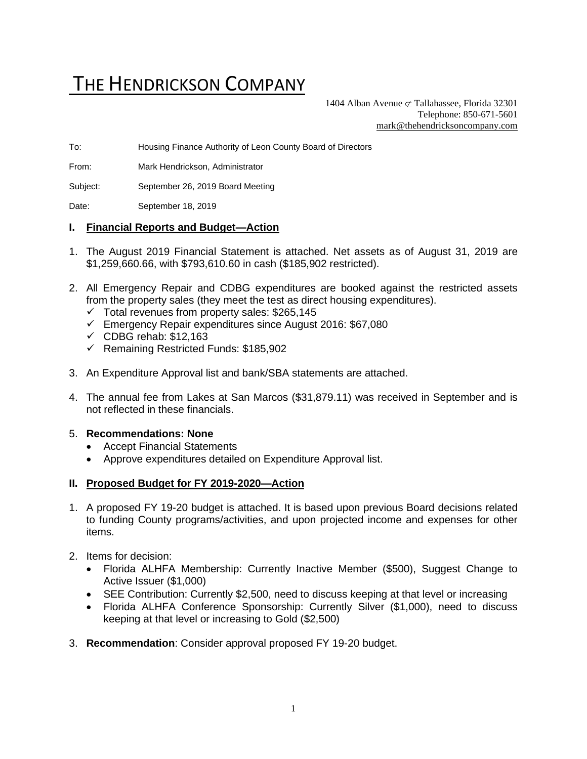# THE HENDRICKSON COMPANY

1404 Alban Avenue  $\sigma$  Tallahassee, Florida 32301 Telephone: 850-671-5601 [mark@thehendricksoncompany.com](mailto:mark@thehendricksoncompany.com)

To: Housing Finance Authority of Leon County Board of Directors

From: Mark Hendrickson, Administrator

Subject: September 26, 2019 Board Meeting

Date: September 18, 2019

#### **I. Financial Reports and Budget—Action**

- 1. The August 2019 Financial Statement is attached. Net assets as of August 31, 2019 are \$1,259,660.66, with \$793,610.60 in cash (\$185,902 restricted).
- 2. All Emergency Repair and CDBG expenditures are booked against the restricted assets from the property sales (they meet the test as direct housing expenditures).
	- $\checkmark$  Total revenues from property sales: \$265,145
	- ✓ Emergency Repair expenditures since August 2016: \$67,080
	- $\checkmark$  CDBG rehab: \$12,163
	- ✓ Remaining Restricted Funds: \$185,902
- 3. An Expenditure Approval list and bank/SBA statements are attached.
- 4. The annual fee from Lakes at San Marcos (\$31,879.11) was received in September and is not reflected in these financials.

#### 5. **Recommendations: None**

- Accept Financial Statements
- Approve expenditures detailed on Expenditure Approval list.

#### **II. Proposed Budget for FY 2019-2020—Action**

- 1. A proposed FY 19-20 budget is attached. It is based upon previous Board decisions related to funding County programs/activities, and upon projected income and expenses for other items.
- 2. Items for decision:
	- Florida ALHFA Membership: Currently Inactive Member (\$500), Suggest Change to Active Issuer (\$1,000)
	- SEE Contribution: Currently \$2,500, need to discuss keeping at that level or increasing
	- Florida ALHFA Conference Sponsorship: Currently Silver (\$1,000), need to discuss keeping at that level or increasing to Gold (\$2,500)
- 3. **Recommendation**: Consider approval proposed FY 19-20 budget.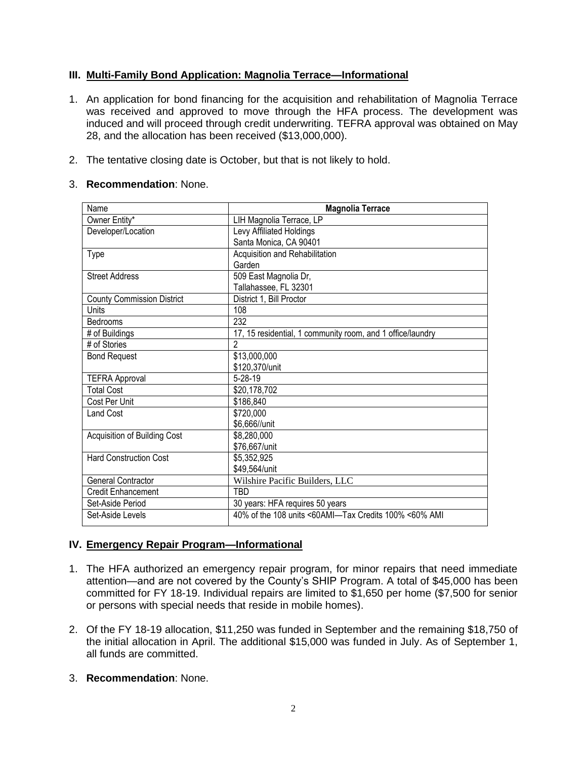# **III. Multi-Family Bond Application: Magnolia Terrace—Informational**

- 1. An application for bond financing for the acquisition and rehabilitation of Magnolia Terrace was received and approved to move through the HFA process. The development was induced and will proceed through credit underwriting. TEFRA approval was obtained on May 28, and the allocation has been received (\$13,000,000).
- 2. The tentative closing date is October, but that is not likely to hold.

#### 3. **Recommendation**: None.

| Name                              | <b>Magnolia Terrace</b>                                    |  |  |  |  |
|-----------------------------------|------------------------------------------------------------|--|--|--|--|
| Owner Entity*                     | LIH Magnolia Terrace, LP                                   |  |  |  |  |
| Developer/Location                | Levy Affiliated Holdings                                   |  |  |  |  |
|                                   | Santa Monica, CA 90401                                     |  |  |  |  |
| <b>Type</b>                       | Acquisition and Rehabilitation                             |  |  |  |  |
|                                   | Garden                                                     |  |  |  |  |
| <b>Street Address</b>             | 509 East Magnolia Dr,                                      |  |  |  |  |
|                                   | Tallahassee, FL 32301                                      |  |  |  |  |
| <b>County Commission District</b> | District 1, Bill Proctor                                   |  |  |  |  |
| Units                             | 108                                                        |  |  |  |  |
| Bedrooms                          | 232                                                        |  |  |  |  |
| # of Buildings                    | 17, 15 residential, 1 community room, and 1 office/laundry |  |  |  |  |
| # of Stories                      | $\mathfrak{p}$                                             |  |  |  |  |
| <b>Bond Request</b>               | \$13,000,000                                               |  |  |  |  |
|                                   | \$120,370/unit                                             |  |  |  |  |
| <b>TEFRA Approval</b>             | $5 - 28 - 19$                                              |  |  |  |  |
| <b>Total Cost</b>                 | \$20,178,702                                               |  |  |  |  |
| Cost Per Unit                     | \$186,840                                                  |  |  |  |  |
| <b>Land Cost</b>                  | \$720,000                                                  |  |  |  |  |
|                                   | \$6,666//unit                                              |  |  |  |  |
| Acquisition of Building Cost      | \$8,280,000                                                |  |  |  |  |
|                                   | \$76,667/unit                                              |  |  |  |  |
| <b>Hard Construction Cost</b>     | \$5,352,925                                                |  |  |  |  |
|                                   | \$49,564/unit                                              |  |  |  |  |
| <b>General Contractor</b>         | Wilshire Pacific Builders, LLC                             |  |  |  |  |
| <b>Credit Enhancement</b>         | TBD                                                        |  |  |  |  |
| Set-Aside Period                  | 30 years: HFA requires 50 years                            |  |  |  |  |
| Set-Aside Levels                  | 40% of the 108 units <60AMI—Tax Credits 100% <60% AMI      |  |  |  |  |

## **IV. Emergency Repair Program—Informational**

- 1. The HFA authorized an emergency repair program, for minor repairs that need immediate attention—and are not covered by the County's SHIP Program. A total of \$45,000 has been committed for FY 18-19. Individual repairs are limited to \$1,650 per home (\$7,500 for senior or persons with special needs that reside in mobile homes).
- 2. Of the FY 18-19 allocation, \$11,250 was funded in September and the remaining \$18,750 of the initial allocation in April. The additional \$15,000 was funded in July. As of September 1, all funds are committed.
- 3. **Recommendation**: None.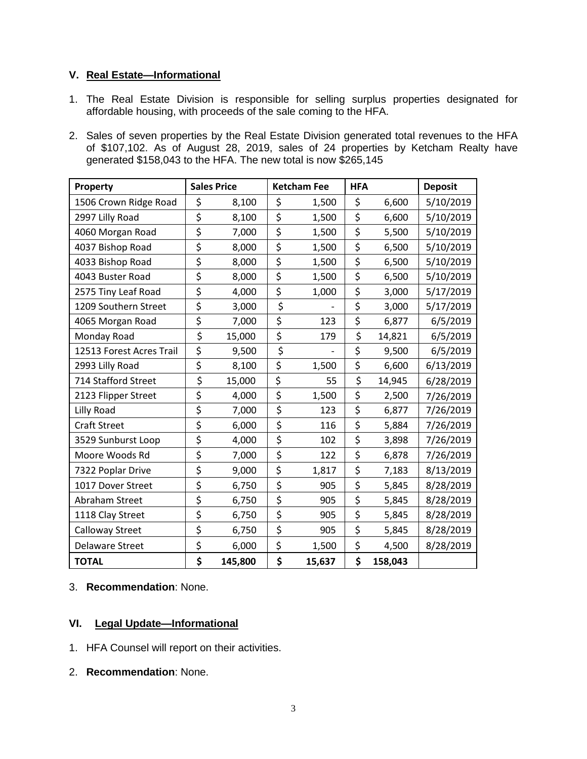## **V. Real Estate—Informational**

- 1. The Real Estate Division is responsible for selling surplus properties designated for affordable housing, with proceeds of the sale coming to the HFA.
- 2. Sales of seven properties by the Real Estate Division generated total revenues to the HFA of \$107,102. As of August 28, 2019, sales of 24 properties by Ketcham Realty have generated \$158,043 to the HFA. The new total is now \$265,145

| Property                 | <b>Sales Price</b> |         | <b>Ketcham Fee</b> | <b>HFA</b> |         | <b>Deposit</b> |
|--------------------------|--------------------|---------|--------------------|------------|---------|----------------|
| 1506 Crown Ridge Road    | \$                 | 8,100   | \$<br>1,500        | \$         | 6,600   | 5/10/2019      |
| 2997 Lilly Road          | \$                 | 8,100   | \$<br>1,500        | \$         | 6,600   | 5/10/2019      |
| 4060 Morgan Road         | \$                 | 7,000   | \$<br>1,500        | \$         | 5,500   | 5/10/2019      |
| 4037 Bishop Road         | \$                 | 8,000   | \$<br>1,500        | \$         | 6,500   | 5/10/2019      |
| 4033 Bishop Road         | \$                 | 8,000   | \$<br>1,500        | \$         | 6,500   | 5/10/2019      |
| 4043 Buster Road         | \$                 | 8,000   | \$<br>1,500        | \$         | 6,500   | 5/10/2019      |
| 2575 Tiny Leaf Road      | \$                 | 4,000   | \$<br>1,000        | \$         | 3,000   | 5/17/2019      |
| 1209 Southern Street     | \$                 | 3,000   | \$                 | \$         | 3,000   | 5/17/2019      |
| 4065 Morgan Road         | \$                 | 7,000   | \$<br>123          | \$         | 6,877   | 6/5/2019       |
| Monday Road              | \$                 | 15,000  | \$<br>179          | \$         | 14,821  | 6/5/2019       |
| 12513 Forest Acres Trail | \$                 | 9,500   | \$                 | \$         | 9,500   | 6/5/2019       |
| 2993 Lilly Road          | \$                 | 8,100   | \$<br>1,500        | \$         | 6,600   | 6/13/2019      |
| 714 Stafford Street      | \$                 | 15,000  | \$<br>55           | \$         | 14,945  | 6/28/2019      |
| 2123 Flipper Street      | \$                 | 4,000   | \$<br>1,500        | \$         | 2,500   | 7/26/2019      |
| <b>Lilly Road</b>        | \$                 | 7,000   | \$<br>123          | \$         | 6,877   | 7/26/2019      |
| <b>Craft Street</b>      | \$                 | 6,000   | \$<br>116          | \$         | 5,884   | 7/26/2019      |
| 3529 Sunburst Loop       | \$                 | 4,000   | \$<br>102          | \$         | 3,898   | 7/26/2019      |
| Moore Woods Rd           | \$                 | 7,000   | \$<br>122          | \$         | 6,878   | 7/26/2019      |
| 7322 Poplar Drive        | \$                 | 9,000   | \$<br>1,817        | \$         | 7,183   | 8/13/2019      |
| 1017 Dover Street        | \$                 | 6,750   | \$<br>905          | \$         | 5,845   | 8/28/2019      |
| Abraham Street           | \$                 | 6,750   | \$<br>905          | \$         | 5,845   | 8/28/2019      |
| 1118 Clay Street         | \$                 | 6,750   | \$<br>905          | \$         | 5,845   | 8/28/2019      |
| Calloway Street          | \$                 | 6,750   | \$<br>905          | \$         | 5,845   | 8/28/2019      |
| <b>Delaware Street</b>   | \$                 | 6,000   | \$<br>1,500        | \$         | 4,500   | 8/28/2019      |
| <b>TOTAL</b>             | \$                 | 145,800 | \$<br>15,637       | \$         | 158,043 |                |

## 3. **Recommendation**: None.

## **VI. Legal Update—Informational**

- 1. HFA Counsel will report on their activities.
- 2. **Recommendation**: None.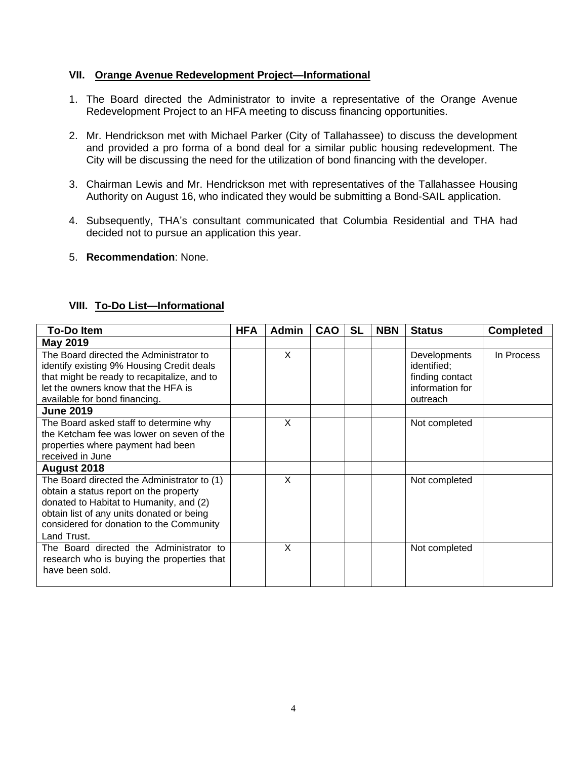#### **VII. Orange Avenue Redevelopment Project—Informational**

- 1. The Board directed the Administrator to invite a representative of the Orange Avenue Redevelopment Project to an HFA meeting to discuss financing opportunities.
- 2. Mr. Hendrickson met with Michael Parker (City of Tallahassee) to discuss the development and provided a pro forma of a bond deal for a similar public housing redevelopment. The City will be discussing the need for the utilization of bond financing with the developer.
- 3. Chairman Lewis and Mr. Hendrickson met with representatives of the Tallahassee Housing Authority on August 16, who indicated they would be submitting a Bond-SAIL application.
- 4. Subsequently, THA's consultant communicated that Columbia Residential and THA had decided not to pursue an application this year.
- 5. **Recommendation**: None.

## **VIII. To-Do List—Informational**

| <b>To-Do Item</b>                                                                                                                                                                                                                        | <b>HFA</b> | <b>Admin</b> | <b>CAO</b> | <b>SL</b> | <b>NBN</b> | <b>Status</b>                                                                        | <b>Completed</b> |
|------------------------------------------------------------------------------------------------------------------------------------------------------------------------------------------------------------------------------------------|------------|--------------|------------|-----------|------------|--------------------------------------------------------------------------------------|------------------|
| <b>May 2019</b>                                                                                                                                                                                                                          |            |              |            |           |            |                                                                                      |                  |
| The Board directed the Administrator to<br>identify existing 9% Housing Credit deals<br>that might be ready to recapitalize, and to<br>let the owners know that the HFA is<br>available for bond financing.                              |            | X            |            |           |            | <b>Developments</b><br>identified;<br>finding contact<br>information for<br>outreach | In Process       |
| <b>June 2019</b>                                                                                                                                                                                                                         |            |              |            |           |            |                                                                                      |                  |
| The Board asked staff to determine why<br>the Ketcham fee was lower on seven of the<br>properties where payment had been<br>received in June                                                                                             |            | X            |            |           |            | Not completed                                                                        |                  |
| August 2018                                                                                                                                                                                                                              |            |              |            |           |            |                                                                                      |                  |
| The Board directed the Administrator to (1)<br>obtain a status report on the property<br>donated to Habitat to Humanity, and (2)<br>obtain list of any units donated or being<br>considered for donation to the Community<br>Land Trust. |            | X            |            |           |            | Not completed                                                                        |                  |
| The Board directed the Administrator to<br>research who is buying the properties that<br>have been sold.                                                                                                                                 |            | X            |            |           |            | Not completed                                                                        |                  |